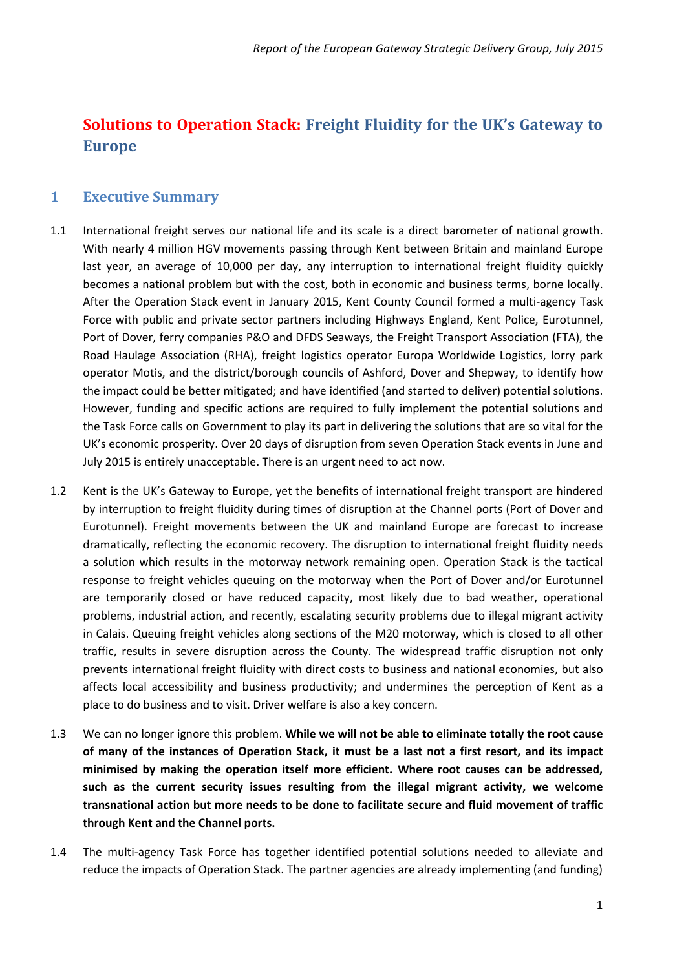## **Solutions to Operation Stack: Freight Fluidity for the UK's Gateway to Europe**

### <span id="page-0-0"></span>**1 Executive Summary**

- 1.1 International freight serves our national life and its scale is a direct barometer of national growth. With nearly 4 million HGV movements passing through Kent between Britain and mainland Europe last year, an average of 10,000 per day, any interruption to international freight fluidity quickly becomes a national problem but with the cost, both in economic and business terms, borne locally. After the Operation Stack event in January 2015, Kent County Council formed a multi-agency Task Force with public and private sector partners including Highways England, Kent Police, Eurotunnel, Port of Dover, ferry companies P&O and DFDS Seaways, the Freight Transport Association (FTA), the Road Haulage Association (RHA), freight logistics operator Europa Worldwide Logistics, lorry park operator Motis, and the district/borough councils of Ashford, Dover and Shepway, to identify how the impact could be better mitigated; and have identified (and started to deliver) potential solutions. However, funding and specific actions are required to fully implement the potential solutions and the Task Force calls on Government to play its part in delivering the solutions that are so vital for the UK's economic prosperity. Over 20 days of disruption from seven Operation Stack events in June and July 2015 is entirely unacceptable. There is an urgent need to act now.
- 1.2 Kent is the UK's Gateway to Europe, yet the benefits of international freight transport are hindered by interruption to freight fluidity during times of disruption at the Channel ports (Port of Dover and Eurotunnel). Freight movements between the UK and mainland Europe are forecast to increase dramatically, reflecting the economic recovery. The disruption to international freight fluidity needs a solution which results in the motorway network remaining open. Operation Stack is the tactical response to freight vehicles queuing on the motorway when the Port of Dover and/or Eurotunnel are temporarily closed or have reduced capacity, most likely due to bad weather, operational problems, industrial action, and recently, escalating security problems due to illegal migrant activity in Calais. Queuing freight vehicles along sections of the M20 motorway, which is closed to all other traffic, results in severe disruption across the County. The widespread traffic disruption not only prevents international freight fluidity with direct costs to business and national economies, but also affects local accessibility and business productivity; and undermines the perception of Kent as a place to do business and to visit. Driver welfare is also a key concern.
- 1.3 We can no longer ignore this problem. **While we will not be able to eliminate totally the root cause of many of the instances of Operation Stack, it must be a last not a first resort, and its impact minimised by making the operation itself more efficient. Where root causes can be addressed, such as the current security issues resulting from the illegal migrant activity, we welcome transnational action but more needs to be done to facilitate secure and fluid movement of traffic through Kent and the Channel ports.**
- 1.4 The multi-agency Task Force has together identified potential solutions needed to alleviate and reduce the impacts of Operation Stack. The partner agencies are already implementing (and funding)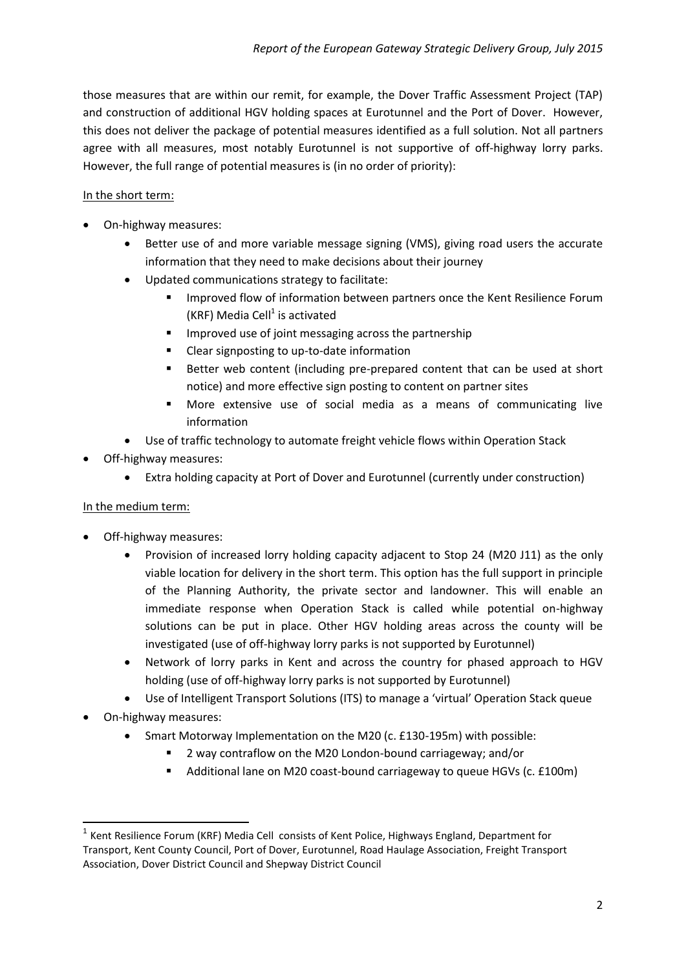those measures that are within our remit, for example, the Dover Traffic Assessment Project (TAP) and construction of additional HGV holding spaces at Eurotunnel and the Port of Dover. However, this does not deliver the package of potential measures identified as a full solution. Not all partners agree with all measures, most notably Eurotunnel is not supportive of off-highway lorry parks. However, the full range of potential measures is (in no order of priority):

#### In the short term:

- On-highway measures:
	- Better use of and more variable message signing (VMS), giving road users the accurate information that they need to make decisions about their journey
	- Updated communications strategy to facilitate:
		- Improved flow of information between partners once the Kent Resilience Forum (KRF) Media Cell<sup>1</sup> is activated
		- **IMPROVED USE OF joint messaging across the partnership**
		- Clear signposting to up-to-date information
		- Better web content (including pre-prepared content that can be used at short notice) and more effective sign posting to content on partner sites
		- More extensive use of social media as a means of communicating live information
	- Use of traffic technology to automate freight vehicle flows within Operation Stack
- Off-highway measures:
	- Extra holding capacity at Port of Dover and Eurotunnel (currently under construction)

#### In the medium term:

- Off-highway measures:
	- Provision of increased lorry holding capacity adjacent to Stop 24 (M20 J11) as the only viable location for delivery in the short term. This option has the full support in principle of the Planning Authority, the private sector and landowner. This will enable an immediate response when Operation Stack is called while potential on-highway solutions can be put in place. Other HGV holding areas across the county will be investigated (use of off-highway lorry parks is not supported by Eurotunnel)
	- Network of lorry parks in Kent and across the country for phased approach to HGV holding (use of off-highway lorry parks is not supported by Eurotunnel)
	- Use of Intelligent Transport Solutions (ITS) to manage a 'virtual' Operation Stack queue
- On-highway measures:

- Smart Motorway Implementation on the M20 (c. £130-195m) with possible:
	- 2 way contraflow on the M20 London-bound carriageway; and/or
	- Additional lane on M20 coast-bound carriageway to queue HGVs (c. £100m)

<sup>&</sup>lt;sup>1</sup> Kent Resilience Forum (KRF) Media Cell consists of Kent Police, Highways England, Department for Transport, Kent County Council, Port of Dover, Eurotunnel, Road Haulage Association, Freight Transport Association, Dover District Council and Shepway District Council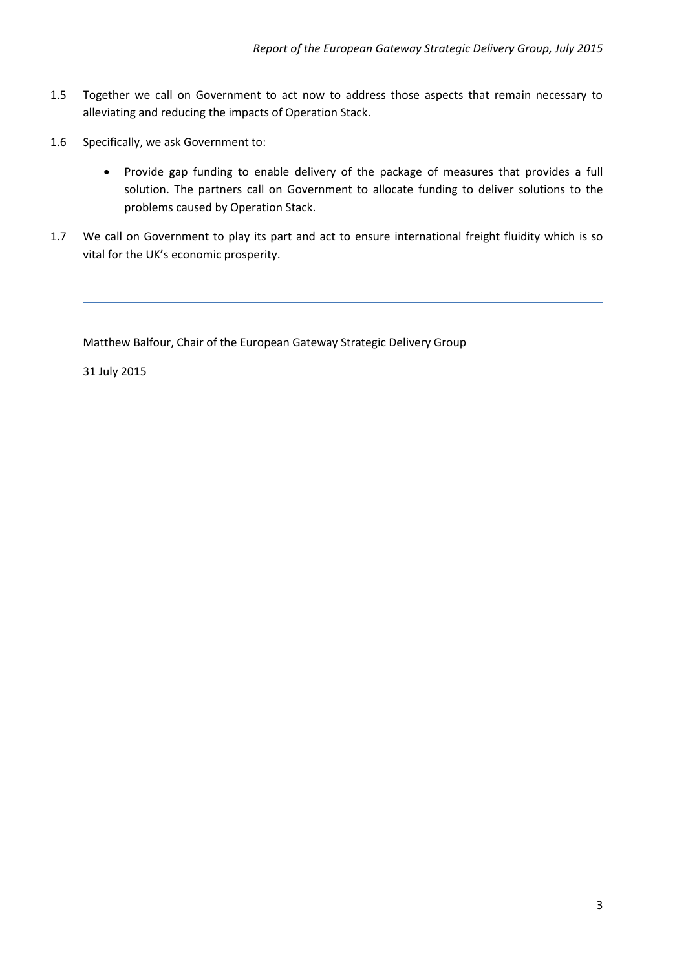- 1.5 Together we call on Government to act now to address those aspects that remain necessary to alleviating and reducing the impacts of Operation Stack.
- 1.6 Specifically, we ask Government to:
	- Provide gap funding to enable delivery of the package of measures that provides a full solution. The partners call on Government to allocate funding to deliver solutions to the problems caused by Operation Stack.
- 1.7 We call on Government to play its part and act to ensure international freight fluidity which is so vital for the UK's economic prosperity.

Matthew Balfour, Chair of the European Gateway Strategic Delivery Group

31 July 2015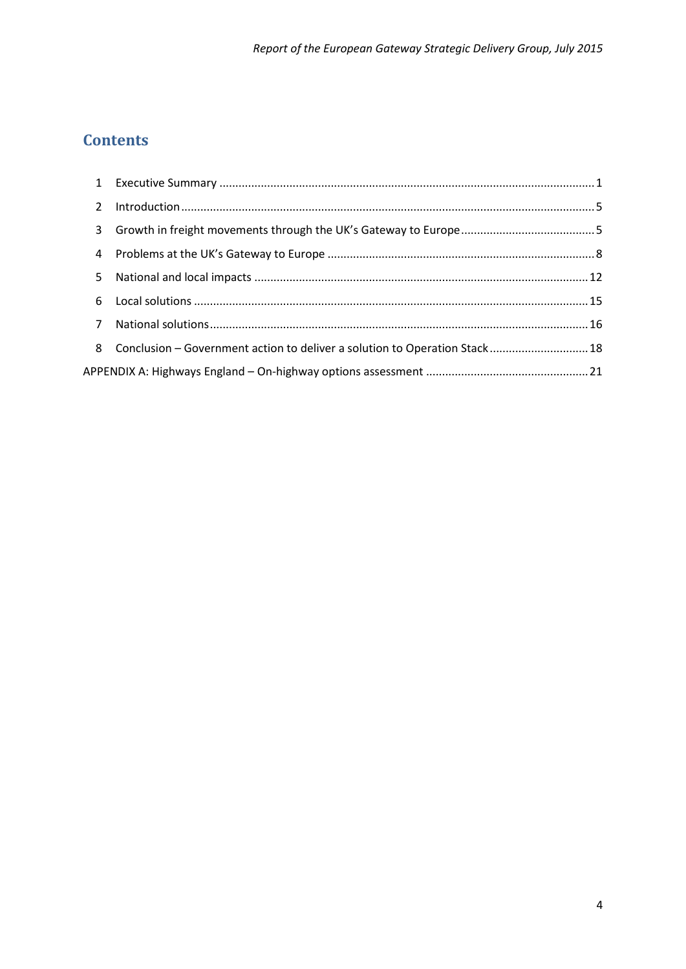# **Contents**

| $\mathbf{1}$   |                                                                            |  |
|----------------|----------------------------------------------------------------------------|--|
| $\overline{2}$ |                                                                            |  |
| 3              |                                                                            |  |
| $\overline{4}$ |                                                                            |  |
| 5              |                                                                            |  |
| 6              |                                                                            |  |
| $\overline{7}$ |                                                                            |  |
| 8              | Conclusion - Government action to deliver a solution to Operation Stack 18 |  |
|                |                                                                            |  |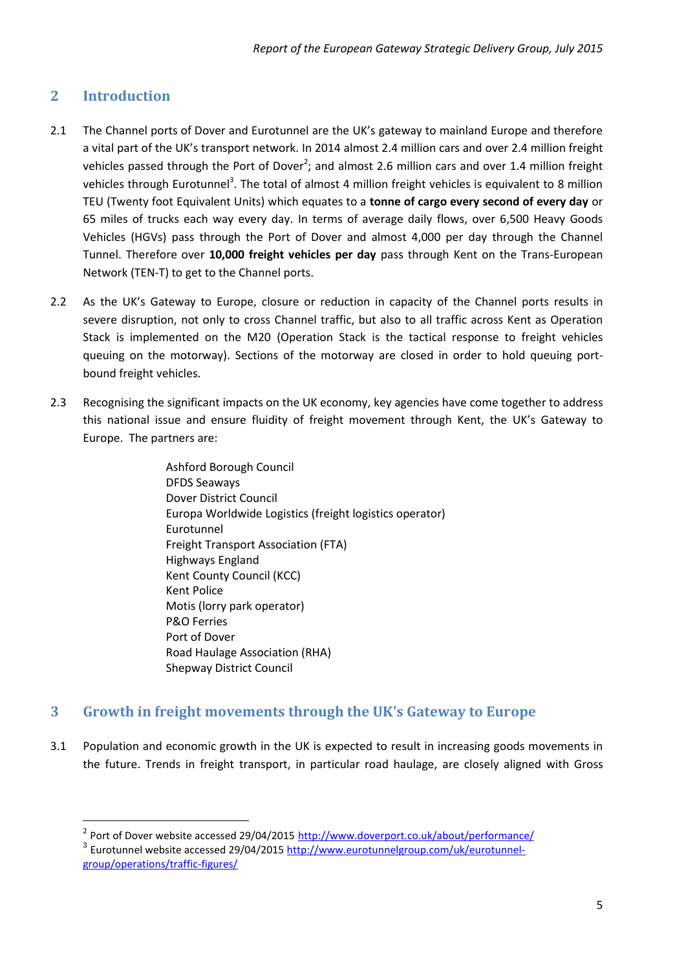### <span id="page-4-0"></span>**2 Introduction**

**.** 

- 2.1 The Channel ports of Dover and Eurotunnel are the UK's gateway to mainland Europe and therefore a vital part of the UK's transport network. In 2014 almost 2.4 million cars and over 2.4 million freight vehicles passed through the Port of Dover<sup>2</sup>; and almost 2.6 million cars and over 1.4 million freight vehicles through Eurotunnel<sup>3</sup>. The total of almost 4 million freight vehicles is equivalent to 8 million TEU (Twenty foot Equivalent Units) which equates to a **tonne of cargo every second of every day** or 65 miles of trucks each way every day. In terms of average daily flows, over 6,500 Heavy Goods Vehicles (HGVs) pass through the Port of Dover and almost 4,000 per day through the Channel Tunnel. Therefore over **10,000 freight vehicles per day** pass through Kent on the Trans-European Network (TEN-T) to get to the Channel ports.
- 2.2 As the UK's Gateway to Europe, closure or reduction in capacity of the Channel ports results in severe disruption, not only to cross Channel traffic, but also to all traffic across Kent as Operation Stack is implemented on the M20 (Operation Stack is the tactical response to freight vehicles queuing on the motorway). Sections of the motorway are closed in order to hold queuing portbound freight vehicles.
- 2.3 Recognising the significant impacts on the UK economy, key agencies have come together to address this national issue and ensure fluidity of freight movement through Kent, the UK's Gateway to Europe. The partners are:

Ashford Borough Council DFDS Seaways Dover District Council Europa Worldwide Logistics (freight logistics operator) Eurotunnel Freight Transport Association (FTA) Highways England Kent County Council (KCC) Kent Police Motis (lorry park operator) P&O Ferries Port of Dover Road Haulage Association (RHA) Shepway District Council

#### <span id="page-4-1"></span>**3 Growth in freight movements through the UK's Gateway to Europe**

3.1 Population and economic growth in the UK is expected to result in increasing goods movements in the future. Trends in freight transport, in particular road haulage, are closely aligned with Gross

<sup>&</sup>lt;sup>2</sup> Port of Dover website accessed 29/04/2015 <http://www.doverport.co.uk/about/performance/> <sup>3</sup> Eurotunnel website accessed 29/04/2015 [http://www.eurotunnelgroup.com/uk/eurotunnel](http://www.eurotunnelgroup.com/uk/eurotunnel-group/operations/traffic-figures/)[group/operations/traffic-figures/](http://www.eurotunnelgroup.com/uk/eurotunnel-group/operations/traffic-figures/)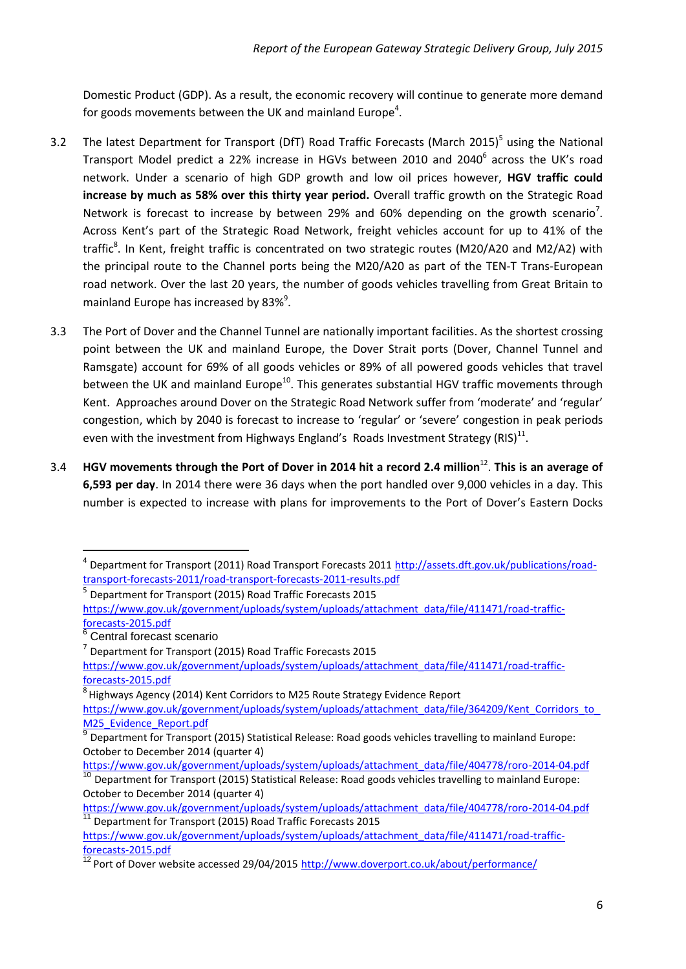Domestic Product (GDP). As a result, the economic recovery will continue to generate more demand for goods movements between the UK and mainland Europe<sup>4</sup>.

- 3.2 The latest Department for Transport (DfT) Road Traffic Forecasts (March 2015)<sup>5</sup> using the National Transport Model predict a 22% increase in HGVs between 2010 and 2040<sup>6</sup> across the UK's road network. Under a scenario of high GDP growth and low oil prices however, **HGV traffic could increase by much as 58% over this thirty year period.** Overall traffic growth on the Strategic Road Network is forecast to increase by between 29% and 60% depending on the growth scenario<sup>7</sup>. Across Kent's part of the Strategic Road Network, freight vehicles account for up to 41% of the traffic<sup>8</sup>. In Kent, freight traffic is concentrated on two strategic routes (M20/A20 and M2/A2) with the principal route to the Channel ports being the M20/A20 as part of the TEN-T Trans-European road network. Over the last 20 years, the number of goods vehicles travelling from Great Britain to mainland Europe has increased by 83% $^9$ .
- 3.3 The Port of Dover and the Channel Tunnel are nationally important facilities. As the shortest crossing point between the UK and mainland Europe, the Dover Strait ports (Dover, Channel Tunnel and Ramsgate) account for 69% of all goods vehicles or 89% of all powered goods vehicles that travel between the UK and mainland Europe<sup>10</sup>. This generates substantial HGV traffic movements through Kent. Approaches around Dover on the Strategic Road Network suffer from 'moderate' and 'regular' congestion, which by 2040 is forecast to increase to 'regular' or 'severe' congestion in peak periods even with the investment from Highways England's Roads Investment Strategy (RIS) $^{11}$ .
- 3.4 **HGV movements through the Port of Dover in 2014 hit a record 2.4 million**<sup>12</sup> . **This is an average of 6,593 per day**. In 2014 there were 36 days when the port handled over 9,000 vehicles in a day. This number is expected to increase with plans for improvements to the Port of Dover's Eastern Docks

<sup>&</sup>lt;sup>4</sup> Department for Transport (2011) Road Transport Forecasts 2011 [http://assets.dft.gov.uk/publications/road](http://assets.dft.gov.uk/publications/road-transport-forecasts-2011/road-transport-forecasts-2011-results.pdf)[transport-forecasts-2011/road-transport-forecasts-2011-results.pdf](http://assets.dft.gov.uk/publications/road-transport-forecasts-2011/road-transport-forecasts-2011-results.pdf)

<sup>&</sup>lt;sup>5</sup> Department for Transport (2015) Road Traffic Forecasts 2015

[https://www.gov.uk/government/uploads/system/uploads/attachment\\_data/file/411471/road-traffic](https://www.gov.uk/government/uploads/system/uploads/attachment_data/file/411471/road-traffic-forecasts-2015.pdf)[forecasts-2015.pdf](https://www.gov.uk/government/uploads/system/uploads/attachment_data/file/411471/road-traffic-forecasts-2015.pdf) 

<sup>&</sup>lt;sup>6</sup> Central forecast scenario

<sup>&</sup>lt;sup>7</sup> Department for Transport (2015) Road Traffic Forecasts 2015

[https://www.gov.uk/government/uploads/system/uploads/attachment\\_data/file/411471/road-traffic](https://www.gov.uk/government/uploads/system/uploads/attachment_data/file/411471/road-traffic-forecasts-2015.pdf)[forecasts-2015.pdf](https://www.gov.uk/government/uploads/system/uploads/attachment_data/file/411471/road-traffic-forecasts-2015.pdf) 

<sup>&</sup>lt;sup>8</sup> Highways Agency (2014) Kent Corridors to M25 Route Strategy Evidence Report

https://www.gov.uk/government/uploads/system/uploads/attachment\_data/file/364209/Kent\_Corridors\_to M25 Evidence Report.pdf

<sup>9</sup> Department for Transport (2015) Statistical Release: Road goods vehicles travelling to mainland Europe: October to December 2014 (quarter 4)

[https://www.gov.uk/government/uploads/system/uploads/attachment\\_data/file/404778/roro-2014-04.pdf](https://www.gov.uk/government/uploads/system/uploads/attachment_data/file/404778/roro-2014-04.pdf)  <sup>10</sup> Department for Transport (2015) Statistical Release: Road goods vehicles travelling to mainland Europe: October to December 2014 (quarter 4)

[https://www.gov.uk/government/uploads/system/uploads/attachment\\_data/file/404778/roro-2014-04.pdf](https://www.gov.uk/government/uploads/system/uploads/attachment_data/file/404778/roro-2014-04.pdf)  11 Department for Transport (2015) Road Traffic Forecasts 2015

[https://www.gov.uk/government/uploads/system/uploads/attachment\\_data/file/411471/road-traffic](https://www.gov.uk/government/uploads/system/uploads/attachment_data/file/411471/road-traffic-forecasts-2015.pdf)[forecasts-2015.pdf](https://www.gov.uk/government/uploads/system/uploads/attachment_data/file/411471/road-traffic-forecasts-2015.pdf) 

<sup>&</sup>lt;sup>12</sup> Port of Dover website accessed 29/04/2015 <http://www.doverport.co.uk/about/performance/>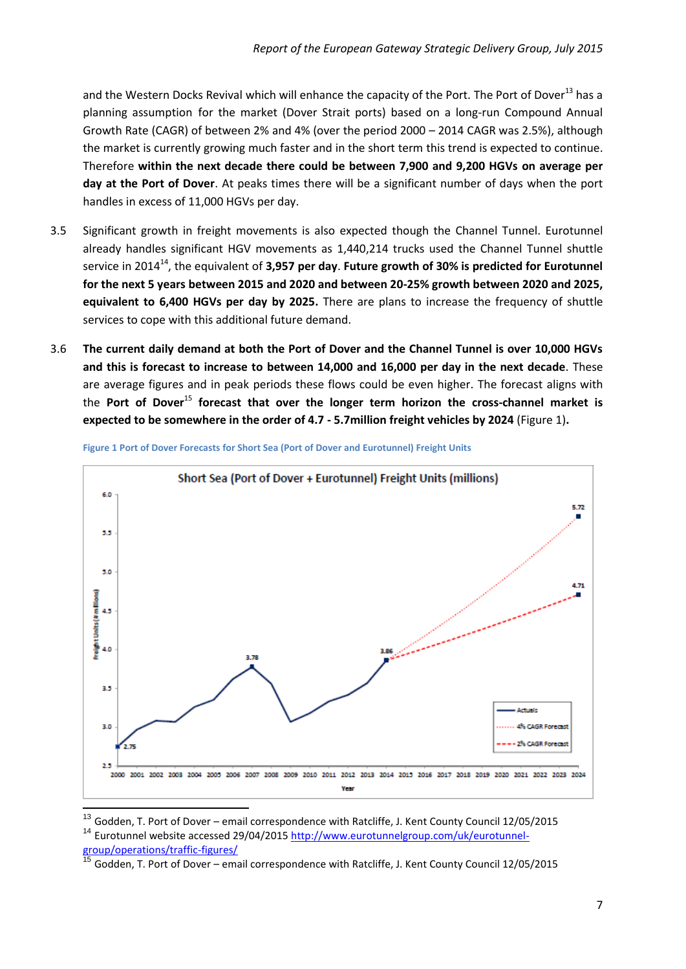and the Western Docks Revival which will enhance the capacity of the Port. The Port of Dover<sup>13</sup> has a planning assumption for the market (Dover Strait ports) based on a long-run Compound Annual Growth Rate (CAGR) of between 2% and 4% (over the period 2000 – 2014 CAGR was 2.5%), although the market is currently growing much faster and in the short term this trend is expected to continue. Therefore **within the next decade there could be between 7,900 and 9,200 HGVs on average per day at the Port of Dover**. At peaks times there will be a significant number of days when the port handles in excess of 11,000 HGVs per day.

- 3.5 Significant growth in freight movements is also expected though the Channel Tunnel. Eurotunnel already handles significant HGV movements as 1,440,214 trucks used the Channel Tunnel shuttle service in 2014<sup>14</sup>, the equivalent of **3,957 per day**. **Future growth of 30% is predicted for Eurotunnel for the next 5 years between 2015 and 2020 and between 20-25% growth between 2020 and 2025, equivalent to 6,400 HGVs per day by 2025.** There are plans to increase the frequency of shuttle services to cope with this additional future demand.
- 3.6 **The current daily demand at both the Port of Dover and the Channel Tunnel is over 10,000 HGVs and this is forecast to increase to between 14,000 and 16,000 per day in the next decade**. These are average figures and in peak periods these flows could be even higher. The forecast aligns with the **Port of Dover**<sup>15</sup> **forecast that over the longer term horizon the cross-channel market is expected to be somewhere in the order of 4.7 - 5.7million freight vehicles by 2024** (Figure 1)**.**



**Figure 1 Port of Dover Forecasts for Short Sea (Port of Dover and Eurotunnel) Freight Units**

<sup>&</sup>lt;sup>13</sup> Godden, T. Port of Dover – email correspondence with Ratcliffe, J. Kent County Council 12/05/2015 <sup>14</sup> Eurotunnel website accessed 29/04/2015 [http://www.eurotunnelgroup.com/uk/eurotunnel](http://www.eurotunnelgroup.com/uk/eurotunnel-group/operations/traffic-figures/)[group/operations/traffic-figures/](http://www.eurotunnelgroup.com/uk/eurotunnel-group/operations/traffic-figures/)

<sup>15</sup> Godden, T. Port of Dover – email correspondence with Ratcliffe, J. Kent County Council 12/05/2015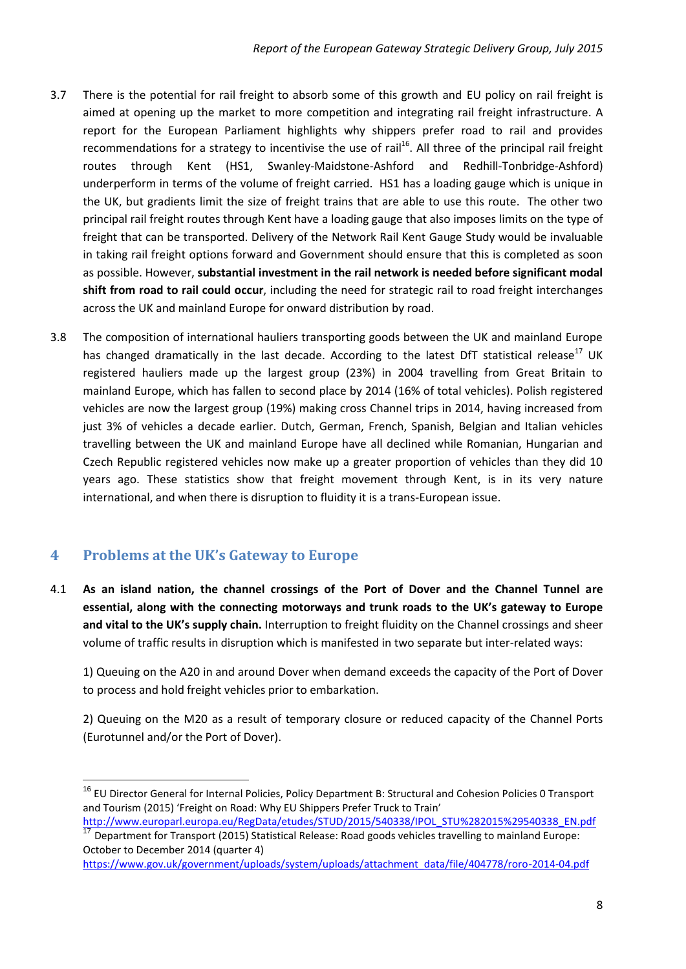- 3.7 There is the potential for rail freight to absorb some of this growth and EU policy on rail freight is aimed at opening up the market to more competition and integrating rail freight infrastructure. A report for the European Parliament highlights why shippers prefer road to rail and provides recommendations for a strategy to incentivise the use of rail<sup>16</sup>. All three of the principal rail freight routes through Kent (HS1, Swanley-Maidstone-Ashford and Redhill-Tonbridge-Ashford) underperform in terms of the volume of freight carried. HS1 has a loading gauge which is unique in the UK, but gradients limit the size of freight trains that are able to use this route. The other two principal rail freight routes through Kent have a loading gauge that also imposes limits on the type of freight that can be transported. Delivery of the Network Rail Kent Gauge Study would be invaluable in taking rail freight options forward and Government should ensure that this is completed as soon as possible. However, **substantial investment in the rail network is needed before significant modal shift from road to rail could occur**, including the need for strategic rail to road freight interchanges across the UK and mainland Europe for onward distribution by road.
- 3.8 The composition of international hauliers transporting goods between the UK and mainland Europe has changed dramatically in the last decade. According to the latest DfT statistical release<sup>17</sup> UK registered hauliers made up the largest group (23%) in 2004 travelling from Great Britain to mainland Europe, which has fallen to second place by 2014 (16% of total vehicles). Polish registered vehicles are now the largest group (19%) making cross Channel trips in 2014, having increased from just 3% of vehicles a decade earlier. Dutch, German, French, Spanish, Belgian and Italian vehicles travelling between the UK and mainland Europe have all declined while Romanian, Hungarian and Czech Republic registered vehicles now make up a greater proportion of vehicles than they did 10 years ago. These statistics show that freight movement through Kent, is in its very nature international, and when there is disruption to fluidity it is a trans-European issue.

## <span id="page-7-0"></span>**4 Problems at the UK's Gateway to Europe**

1

4.1 **As an island nation, the channel crossings of the Port of Dover and the Channel Tunnel are essential, along with the connecting motorways and trunk roads to the UK's gateway to Europe and vital to the UK's supply chain.** Interruption to freight fluidity on the Channel crossings and sheer volume of traffic results in disruption which is manifested in two separate but inter-related ways:

1) Queuing on the A20 in and around Dover when demand exceeds the capacity of the Port of Dover to process and hold freight vehicles prior to embarkation.

2) Queuing on the M20 as a result of temporary closure or reduced capacity of the Channel Ports (Eurotunnel and/or the Port of Dover).

<sup>&</sup>lt;sup>16</sup> EU Director General for Internal Policies, Policy Department B: Structural and Cohesion Policies 0 Transport and Tourism (2015) 'Freight on Road: Why EU Shippers Prefer Truck to Train'

http://www.europarl.europa.eu/RegData/etudes/STUD/2015/540338/IPOL\_STU%282015%29540338\_EN.pdf <sup>17</sup> Department for Transport (2015) Statistical Release: Road goods vehicles travelling to mainland Europe: October to December 2014 (quarter 4)

[https://www.gov.uk/government/uploads/system/uploads/attachment\\_data/file/404778/roro-2014-04.pdf](https://www.gov.uk/government/uploads/system/uploads/attachment_data/file/404778/roro-2014-04.pdf)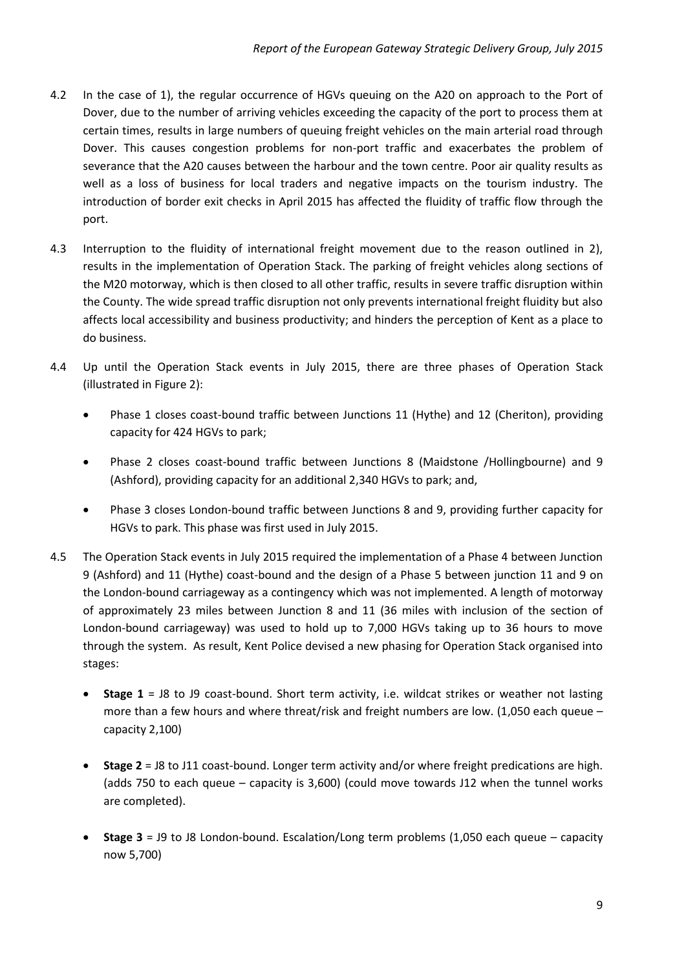- 4.2 In the case of 1), the regular occurrence of HGVs queuing on the A20 on approach to the Port of Dover, due to the number of arriving vehicles exceeding the capacity of the port to process them at certain times, results in large numbers of queuing freight vehicles on the main arterial road through Dover. This causes congestion problems for non-port traffic and exacerbates the problem of severance that the A20 causes between the harbour and the town centre. Poor air quality results as well as a loss of business for local traders and negative impacts on the tourism industry. The introduction of border exit checks in April 2015 has affected the fluidity of traffic flow through the port.
- 4.3 Interruption to the fluidity of international freight movement due to the reason outlined in 2), results in the implementation of Operation Stack. The parking of freight vehicles along sections of the M20 motorway, which is then closed to all other traffic, results in severe traffic disruption within the County. The wide spread traffic disruption not only prevents international freight fluidity but also affects local accessibility and business productivity; and hinders the perception of Kent as a place to do business.
- 4.4 Up until the Operation Stack events in July 2015, there are three phases of Operation Stack (illustrated in Figure 2):
	- Phase 1 closes coast-bound traffic between Junctions 11 (Hythe) and 12 (Cheriton), providing capacity for 424 HGVs to park;
	- Phase 2 closes coast-bound traffic between Junctions 8 (Maidstone /Hollingbourne) and 9 (Ashford), providing capacity for an additional 2,340 HGVs to park; and,
	- Phase 3 closes London-bound traffic between Junctions 8 and 9, providing further capacity for HGVs to park. This phase was first used in July 2015.
- 4.5 The Operation Stack events in July 2015 required the implementation of a Phase 4 between Junction 9 (Ashford) and 11 (Hythe) coast-bound and the design of a Phase 5 between junction 11 and 9 on the London-bound carriageway as a contingency which was not implemented. A length of motorway of approximately 23 miles between Junction 8 and 11 (36 miles with inclusion of the section of London-bound carriageway) was used to hold up to 7,000 HGVs taking up to 36 hours to move through the system. As result, Kent Police devised a new phasing for Operation Stack organised into stages:
	- **Stage 1** = J8 to J9 coast-bound. Short term activity, i.e. wildcat strikes or weather not lasting more than a few hours and where threat/risk and freight numbers are low. (1,050 each queue – capacity 2,100)
	- **Stage 2** = J8 to J11 coast-bound. Longer term activity and/or where freight predications are high. (adds 750 to each queue – capacity is 3,600) (could move towards J12 when the tunnel works are completed).
	- **Stage 3** = J9 to J8 London-bound. Escalation/Long term problems (1,050 each queue capacity now 5,700)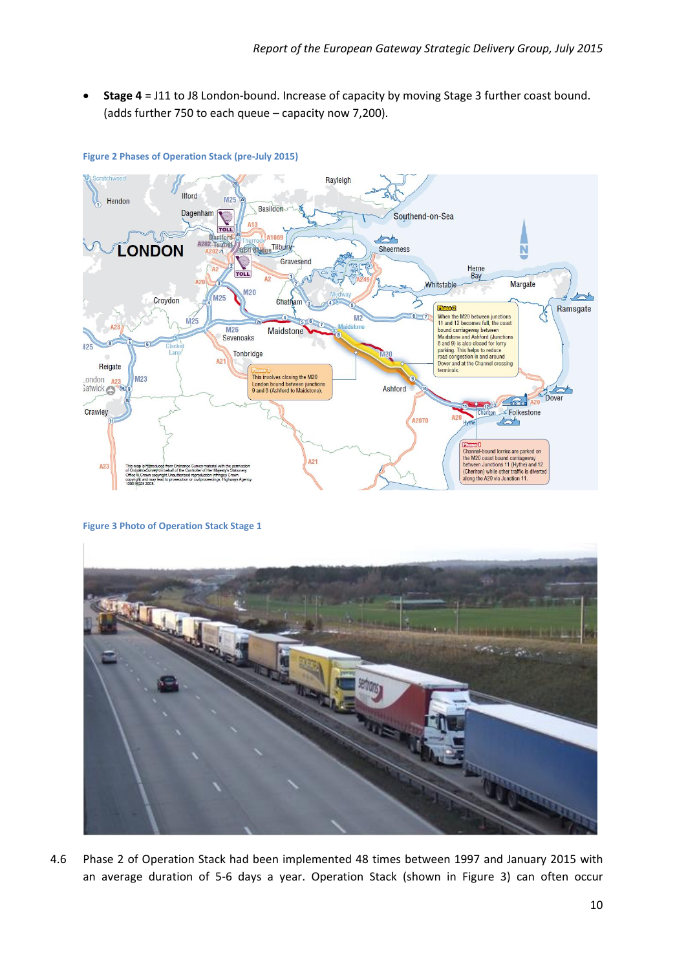**Stage 4** = J11 to J8 London-bound. Increase of capacity by moving Stage 3 further coast bound. (adds further 750 to each queue – capacity now 7,200).



#### **Figure 2 Phases of Operation Stack (pre-July 2015)**

**Figure 3 Photo of Operation Stack Stage 1**



4.6 Phase 2 of Operation Stack had been implemented 48 times between 1997 and January 2015 with an average duration of 5-6 days a year. Operation Stack (shown in Figure 3) can often occur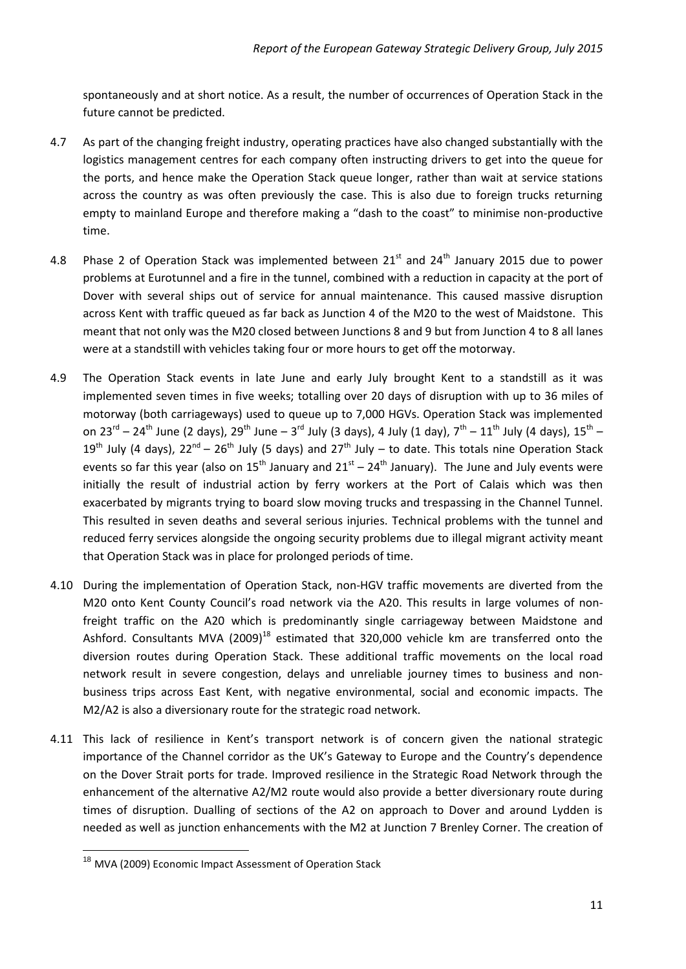spontaneously and at short notice. As a result, the number of occurrences of Operation Stack in the future cannot be predicted.

- 4.7 As part of the changing freight industry, operating practices have also changed substantially with the logistics management centres for each company often instructing drivers to get into the queue for the ports, and hence make the Operation Stack queue longer, rather than wait at service stations across the country as was often previously the case. This is also due to foreign trucks returning empty to mainland Europe and therefore making a "dash to the coast" to minimise non-productive time.
- 4.8 Phase 2 of Operation Stack was implemented between  $21<sup>st</sup>$  and  $24<sup>th</sup>$  January 2015 due to power problems at Eurotunnel and a fire in the tunnel, combined with a reduction in capacity at the port of Dover with several ships out of service for annual maintenance. This caused massive disruption across Kent with traffic queued as far back as Junction 4 of the M20 to the west of Maidstone. This meant that not only was the M20 closed between Junctions 8 and 9 but from Junction 4 to 8 all lanes were at a standstill with vehicles taking four or more hours to get off the motorway.
- 4.9 The Operation Stack events in late June and early July brought Kent to a standstill as it was implemented seven times in five weeks; totalling over 20 days of disruption with up to 36 miles of motorway (both carriageways) used to queue up to 7,000 HGVs. Operation Stack was implemented on 23<sup>rd</sup> – 24<sup>th</sup> June (2 days), 29<sup>th</sup> June – 3<sup>rd</sup> July (3 days), 4 July (1 day), 7<sup>th</sup> – 11<sup>th</sup> July (4 days), 15<sup>th</sup> – 19<sup>th</sup> July (4 days), 22<sup>nd</sup> – 26<sup>th</sup> July (5 days) and 27<sup>th</sup> July – to date. This totals nine Operation Stack events so far this year (also on  $15^{th}$  January and  $21^{st}$  –  $24^{th}$  January). The June and July events were initially the result of industrial action by ferry workers at the Port of Calais which was then exacerbated by migrants trying to board slow moving trucks and trespassing in the Channel Tunnel. This resulted in seven deaths and several serious injuries. Technical problems with the tunnel and reduced ferry services alongside the ongoing security problems due to illegal migrant activity meant that Operation Stack was in place for prolonged periods of time.
- 4.10 During the implementation of Operation Stack, non-HGV traffic movements are diverted from the M20 onto Kent County Council's road network via the A20. This results in large volumes of nonfreight traffic on the A20 which is predominantly single carriageway between Maidstone and Ashford. Consultants MVA (2009)<sup>18</sup> estimated that 320,000 vehicle km are transferred onto the diversion routes during Operation Stack. These additional traffic movements on the local road network result in severe congestion, delays and unreliable journey times to business and nonbusiness trips across East Kent, with negative environmental, social and economic impacts. The M2/A2 is also a diversionary route for the strategic road network.
- 4.11 This lack of resilience in Kent's transport network is of concern given the national strategic importance of the Channel corridor as the UK's Gateway to Europe and the Country's dependence on the Dover Strait ports for trade. Improved resilience in the Strategic Road Network through the enhancement of the alternative A2/M2 route would also provide a better diversionary route during times of disruption. Dualling of sections of the A2 on approach to Dover and around Lydden is needed as well as junction enhancements with the M2 at Junction 7 Brenley Corner. The creation of

<sup>&</sup>lt;sup>18</sup> MVA (2009) Economic Impact Assessment of Operation Stack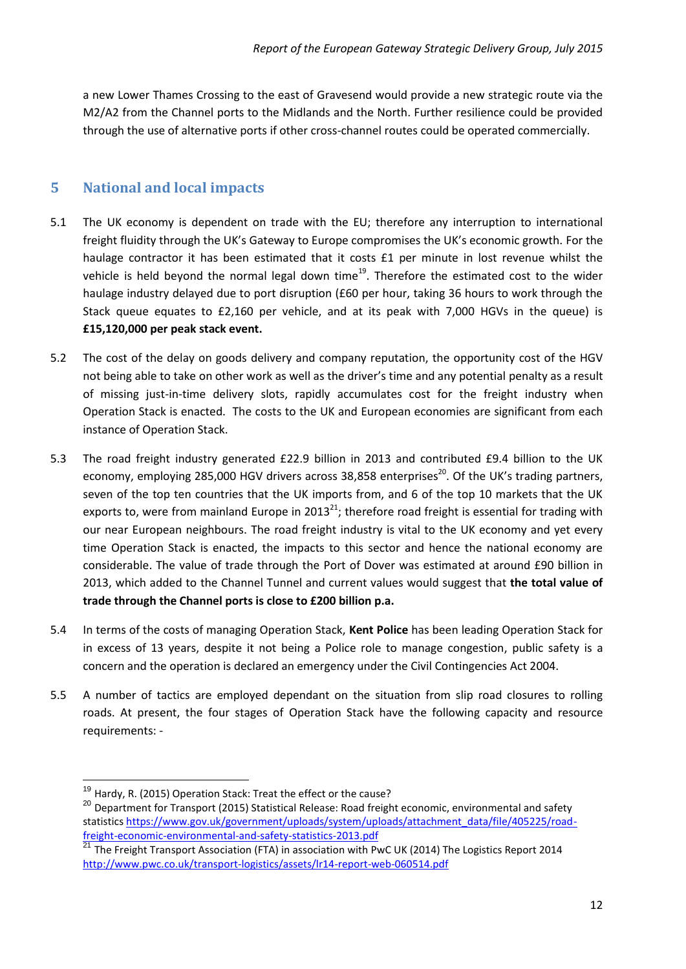a new Lower Thames Crossing to the east of Gravesend would provide a new strategic route via the M2/A2 from the Channel ports to the Midlands and the North. Further resilience could be provided through the use of alternative ports if other cross-channel routes could be operated commercially.

#### <span id="page-11-0"></span>**5 National and local impacts**

- 5.1 The UK economy is dependent on trade with the EU; therefore any interruption to international freight fluidity through the UK's Gateway to Europe compromises the UK's economic growth. For the haulage contractor it has been estimated that it costs £1 per minute in lost revenue whilst the vehicle is held beyond the normal legal down time<sup>19</sup>. Therefore the estimated cost to the wider haulage industry delayed due to port disruption (£60 per hour, taking 36 hours to work through the Stack queue equates to £2,160 per vehicle, and at its peak with 7,000 HGVs in the queue) is **£15,120,000 per peak stack event.**
- 5.2 The cost of the delay on goods delivery and company reputation, the opportunity cost of the HGV not being able to take on other work as well as the driver's time and any potential penalty as a result of missing just-in-time delivery slots, rapidly accumulates cost for the freight industry when Operation Stack is enacted. The costs to the UK and European economies are significant from each instance of Operation Stack.
- 5.3 The road freight industry generated £22.9 billion in 2013 and contributed £9.4 billion to the UK economy, employing 285,000 HGV drivers across 38,858 enterprises<sup>20</sup>. Of the UK's trading partners, seven of the top ten countries that the UK imports from, and 6 of the top 10 markets that the UK exports to, were from mainland Europe in 2013<sup>21</sup>; therefore road freight is essential for trading with our near European neighbours. The road freight industry is vital to the UK economy and yet every time Operation Stack is enacted, the impacts to this sector and hence the national economy are considerable. The value of trade through the Port of Dover was estimated at around £90 billion in 2013, which added to the Channel Tunnel and current values would suggest that **the total value of trade through the Channel ports is close to £200 billion p.a.**
- 5.4 In terms of the costs of managing Operation Stack, **Kent Police** has been leading Operation Stack for in excess of 13 years, despite it not being a Police role to manage congestion, public safety is a concern and the operation is declared an emergency under the Civil Contingencies Act 2004.
- 5.5 A number of tactics are employed dependant on the situation from slip road closures to rolling roads. At present, the four stages of Operation Stack have the following capacity and resource requirements: -

1

<sup>&</sup>lt;sup>19</sup> Hardy, R. (2015) Operation Stack: Treat the effect or the cause?

<sup>&</sup>lt;sup>20</sup> Department for Transport (2015) Statistical Release: Road freight economic, environmental and safety statistic[s https://www.gov.uk/government/uploads/system/uploads/attachment\\_data/file/405225/road](https://www.gov.uk/government/uploads/system/uploads/attachment_data/file/405225/road-freight-economic-environmental-and-safety-statistics-2013.pdf)[freight-economic-environmental-and-safety-statistics-2013.pdf](https://www.gov.uk/government/uploads/system/uploads/attachment_data/file/405225/road-freight-economic-environmental-and-safety-statistics-2013.pdf) 

 $^{21}$  The Freight Transport Association (FTA) in association with PwC UK (2014) The Logistics Report 2014 <http://www.pwc.co.uk/transport-logistics/assets/lr14-report-web-060514.pdf>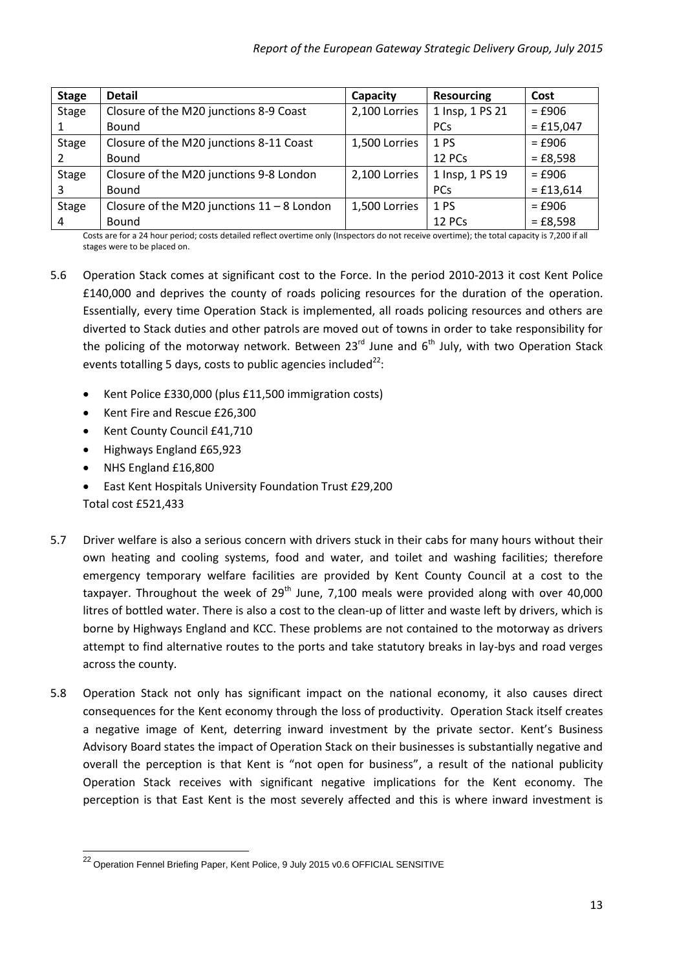| <b>Stage</b> | <b>Detail</b>                                | Capacity      | <b>Resourcing</b> | Cost        |
|--------------|----------------------------------------------|---------------|-------------------|-------------|
| <b>Stage</b> | Closure of the M20 junctions 8-9 Coast       | 2,100 Lorries | 1 Insp, 1 PS 21   | $=$ £906    |
|              | Bound                                        |               | <b>PCs</b>        | $=$ £15,047 |
| <b>Stage</b> | Closure of the M20 junctions 8-11 Coast      | 1,500 Lorries | 1 PS              | $=$ £906    |
|              | Bound                                        |               | 12 PCs            | $=$ £8,598  |
| <b>Stage</b> | Closure of the M20 junctions 9-8 London      | 2,100 Lorries | 1 Insp, 1 PS 19   | $=$ £906    |
| 3            | Bound                                        |               | <b>PCs</b>        | $=$ £13,614 |
| <b>Stage</b> | Closure of the M20 junctions $11 - 8$ London | 1,500 Lorries | 1 PS              | $=$ £906    |
| 4            | Bound                                        |               | 12 PCs            | $=$ £8,598  |

Costs are for a 24 hour period; costs detailed reflect overtime only (Inspectors do not receive overtime); the total capacity is 7,200 if all stages were to be placed on.

- 5.6 Operation Stack comes at significant cost to the Force. In the period 2010-2013 it cost Kent Police £140,000 and deprives the county of roads policing resources for the duration of the operation. Essentially, every time Operation Stack is implemented, all roads policing resources and others are diverted to Stack duties and other patrols are moved out of towns in order to take responsibility for the policing of the motorway network. Between  $23<sup>rd</sup>$  June and  $6<sup>th</sup>$  July, with two Operation Stack events totalling 5 days, costs to public agencies included $^{22}$ :
	- Kent Police £330,000 (plus £11,500 immigration costs)
	- Kent Fire and Rescue £26,300
	- Kent County Council £41,710
	- Highways England £65,923
	- NHS England £16,800
	- East Kent Hospitals University Foundation Trust £29,200

Total cost £521,433

- 5.7 Driver welfare is also a serious concern with drivers stuck in their cabs for many hours without their own heating and cooling systems, food and water, and toilet and washing facilities; therefore emergency temporary welfare facilities are provided by Kent County Council at a cost to the taxpayer. Throughout the week of  $29<sup>th</sup>$  June, 7,100 meals were provided along with over 40,000 litres of bottled water. There is also a cost to the clean-up of litter and waste left by drivers, which is borne by Highways England and KCC. These problems are not contained to the motorway as drivers attempt to find alternative routes to the ports and take statutory breaks in lay-bys and road verges across the county.
- 5.8 Operation Stack not only has significant impact on the national economy, it also causes direct consequences for the Kent economy through the loss of productivity. Operation Stack itself creates a negative image of Kent, deterring inward investment by the private sector. Kent's Business Advisory Board states the impact of Operation Stack on their businesses is substantially negative and overall the perception is that Kent is "not open for business", a result of the national publicity Operation Stack receives with significant negative implications for the Kent economy. The perception is that East Kent is the most severely affected and this is where inward investment is

<sup>&</sup>lt;sup>22</sup> Operation Fennel Briefing Paper, Kent Police, 9 July 2015 v0.6 OFFICIAL SENSITIVE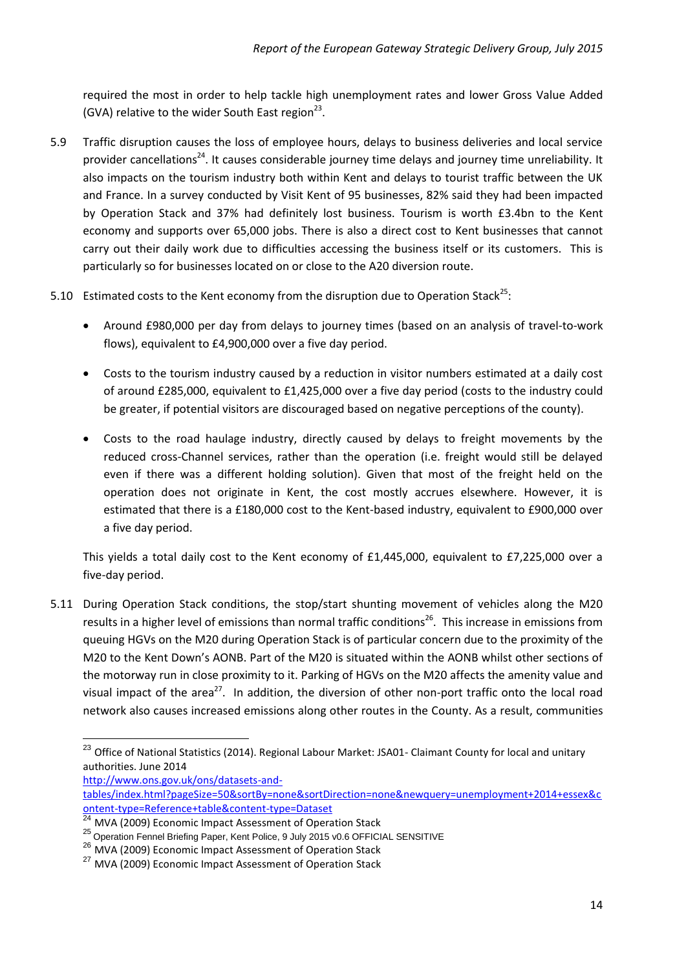required the most in order to help tackle high unemployment rates and lower Gross Value Added (GVA) relative to the wider South East region $^{23}$ .

- 5.9 Traffic disruption causes the loss of employee hours, delays to business deliveries and local service provider cancellations<sup>24</sup>. It causes considerable journey time delays and journey time unreliability. It also impacts on the tourism industry both within Kent and delays to tourist traffic between the UK and France. In a survey conducted by Visit Kent of 95 businesses, 82% said they had been impacted by Operation Stack and 37% had definitely lost business. Tourism is worth £3.4bn to the Kent economy and supports over 65,000 jobs. There is also a direct cost to Kent businesses that cannot carry out their daily work due to difficulties accessing the business itself or its customers. This is particularly so for businesses located on or close to the A20 diversion route.
- 5.10 Estimated costs to the Kent economy from the disruption due to Operation Stack<sup>25</sup>:
	- Around £980,000 per day from delays to journey times (based on an analysis of travel-to-work flows), equivalent to £4,900,000 over a five day period.
	- Costs to the tourism industry caused by a reduction in visitor numbers estimated at a daily cost of around £285,000, equivalent to £1,425,000 over a five day period (costs to the industry could be greater, if potential visitors are discouraged based on negative perceptions of the county).
	- Costs to the road haulage industry, directly caused by delays to freight movements by the reduced cross-Channel services, rather than the operation (i.e. freight would still be delayed even if there was a different holding solution). Given that most of the freight held on the operation does not originate in Kent, the cost mostly accrues elsewhere. However, it is estimated that there is a £180,000 cost to the Kent-based industry, equivalent to £900,000 over a five day period.

This yields a total daily cost to the Kent economy of £1,445,000, equivalent to £7,225,000 over a five-day period.

5.11 During Operation Stack conditions, the stop/start shunting movement of vehicles along the M20 results in a higher level of emissions than normal traffic conditions<sup>26</sup>. This increase in emissions from queuing HGVs on the M20 during Operation Stack is of particular concern due to the proximity of the M20 to the Kent Down's AONB. Part of the M20 is situated within the AONB whilst other sections of the motorway run in close proximity to it. Parking of HGVs on the M20 affects the amenity value and visual impact of the area<sup>27</sup>. In addition, the diversion of other non-port traffic onto the local road network also causes increased emissions along other routes in the County. As a result, communities

1

<sup>&</sup>lt;sup>23</sup> Office of National Statistics (2014). Regional Labour Market: JSA01- Claimant County for local and unitary authorities. June 2014

[http://www.ons.gov.uk/ons/datasets-and-](http://www.ons.gov.uk/ons/datasets-and-tables/index.html?pageSize=50&sortBy=none&sortDirection=none&newquery=unemployment+2014+essex&content-type=Reference+table&content-type=Dataset)

[tables/index.html?pageSize=50&sortBy=none&sortDirection=none&newquery=unemployment+2014+essex&c](http://www.ons.gov.uk/ons/datasets-and-tables/index.html?pageSize=50&sortBy=none&sortDirection=none&newquery=unemployment+2014+essex&content-type=Reference+table&content-type=Dataset) [ontent-type=Reference+table&content-type=Dataset](http://www.ons.gov.uk/ons/datasets-and-tables/index.html?pageSize=50&sortBy=none&sortDirection=none&newquery=unemployment+2014+essex&content-type=Reference+table&content-type=Dataset)

<sup>&</sup>lt;sup>24</sup> MVA (2009) Economic Impact Assessment of Operation Stack

<sup>&</sup>lt;sup>25</sup> Operation Fennel Briefing Paper, Kent Police, 9 July 2015 v0.6 OFFICIAL SENSITIVE

<sup>26</sup> MVA (2009) Economic Impact Assessment of Operation Stack

<sup>&</sup>lt;sup>27</sup> MVA (2009) Economic Impact Assessment of Operation Stack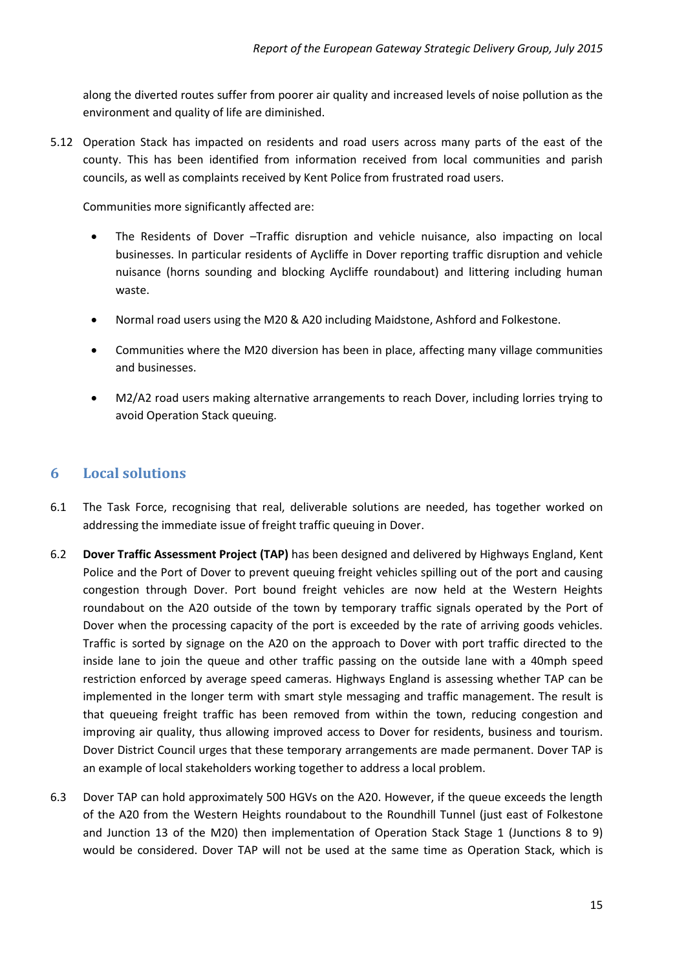along the diverted routes suffer from poorer air quality and increased levels of noise pollution as the environment and quality of life are diminished.

5.12 Operation Stack has impacted on residents and road users across many parts of the east of the county. This has been identified from information received from local communities and parish councils, as well as complaints received by Kent Police from frustrated road users.

Communities more significantly affected are:

- The Residents of Dover –Traffic disruption and vehicle nuisance, also impacting on local businesses. In particular residents of Aycliffe in Dover reporting traffic disruption and vehicle nuisance (horns sounding and blocking Aycliffe roundabout) and littering including human waste.
- Normal road users using the M20 & A20 including Maidstone, Ashford and Folkestone.
- Communities where the M20 diversion has been in place, affecting many village communities and businesses.
- M2/A2 road users making alternative arrangements to reach Dover, including lorries trying to avoid Operation Stack queuing.

### <span id="page-14-0"></span>**6 Local solutions**

- 6.1 The Task Force, recognising that real, deliverable solutions are needed, has together worked on addressing the immediate issue of freight traffic queuing in Dover.
- 6.2 **Dover Traffic Assessment Project (TAP)** has been designed and delivered by Highways England, Kent Police and the Port of Dover to prevent queuing freight vehicles spilling out of the port and causing congestion through Dover. Port bound freight vehicles are now held at the Western Heights roundabout on the A20 outside of the town by temporary traffic signals operated by the Port of Dover when the processing capacity of the port is exceeded by the rate of arriving goods vehicles. Traffic is sorted by signage on the A20 on the approach to Dover with port traffic directed to the inside lane to join the queue and other traffic passing on the outside lane with a 40mph speed restriction enforced by average speed cameras. Highways England is assessing whether TAP can be implemented in the longer term with smart style messaging and traffic management. The result is that queueing freight traffic has been removed from within the town, reducing congestion and improving air quality, thus allowing improved access to Dover for residents, business and tourism. Dover District Council urges that these temporary arrangements are made permanent. Dover TAP is an example of local stakeholders working together to address a local problem.
- 6.3 Dover TAP can hold approximately 500 HGVs on the A20. However, if the queue exceeds the length of the A20 from the Western Heights roundabout to the Roundhill Tunnel (just east of Folkestone and Junction 13 of the M20) then implementation of Operation Stack Stage 1 (Junctions 8 to 9) would be considered. Dover TAP will not be used at the same time as Operation Stack, which is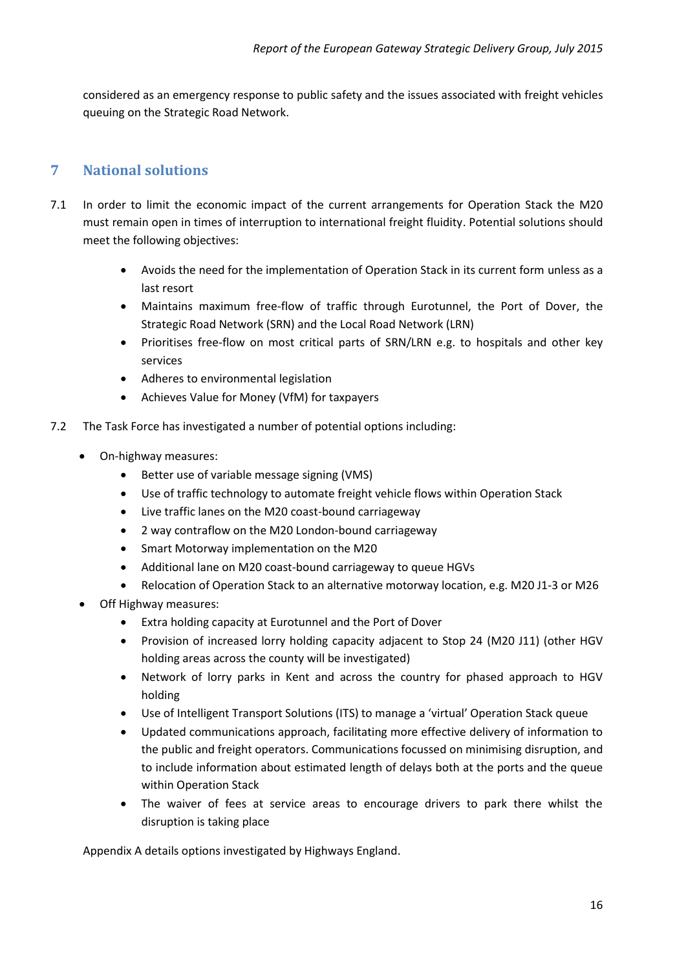considered as an emergency response to public safety and the issues associated with freight vehicles queuing on the Strategic Road Network.

## <span id="page-15-0"></span>**7 National solutions**

- 7.1 In order to limit the economic impact of the current arrangements for Operation Stack the M20 must remain open in times of interruption to international freight fluidity. Potential solutions should meet the following objectives:
	- Avoids the need for the implementation of Operation Stack in its current form unless as a last resort
	- Maintains maximum free-flow of traffic through Eurotunnel, the Port of Dover, the Strategic Road Network (SRN) and the Local Road Network (LRN)
	- Prioritises free-flow on most critical parts of SRN/LRN e.g. to hospitals and other key services
	- Adheres to environmental legislation
	- Achieves Value for Money (VfM) for taxpayers
- 7.2 The Task Force has investigated a number of potential options including:
	- On-highway measures:
		- Better use of variable message signing (VMS)
		- Use of traffic technology to automate freight vehicle flows within Operation Stack
		- Live traffic lanes on the M20 coast-bound carriageway
		- 2 way contraflow on the M20 London-bound carriageway
		- Smart Motorway implementation on the M20
		- Additional lane on M20 coast-bound carriageway to queue HGVs
		- Relocation of Operation Stack to an alternative motorway location, e.g. M20 J1-3 or M26
	- Off Highway measures:
		- Extra holding capacity at Eurotunnel and the Port of Dover
		- Provision of increased lorry holding capacity adjacent to Stop 24 (M20 J11) (other HGV holding areas across the county will be investigated)
		- Network of lorry parks in Kent and across the country for phased approach to HGV holding
		- Use of Intelligent Transport Solutions (ITS) to manage a 'virtual' Operation Stack queue
		- Updated communications approach, facilitating more effective delivery of information to the public and freight operators. Communications focussed on minimising disruption, and to include information about estimated length of delays both at the ports and the queue within Operation Stack
		- The waiver of fees at service areas to encourage drivers to park there whilst the disruption is taking place

Appendix A details options investigated by Highways England.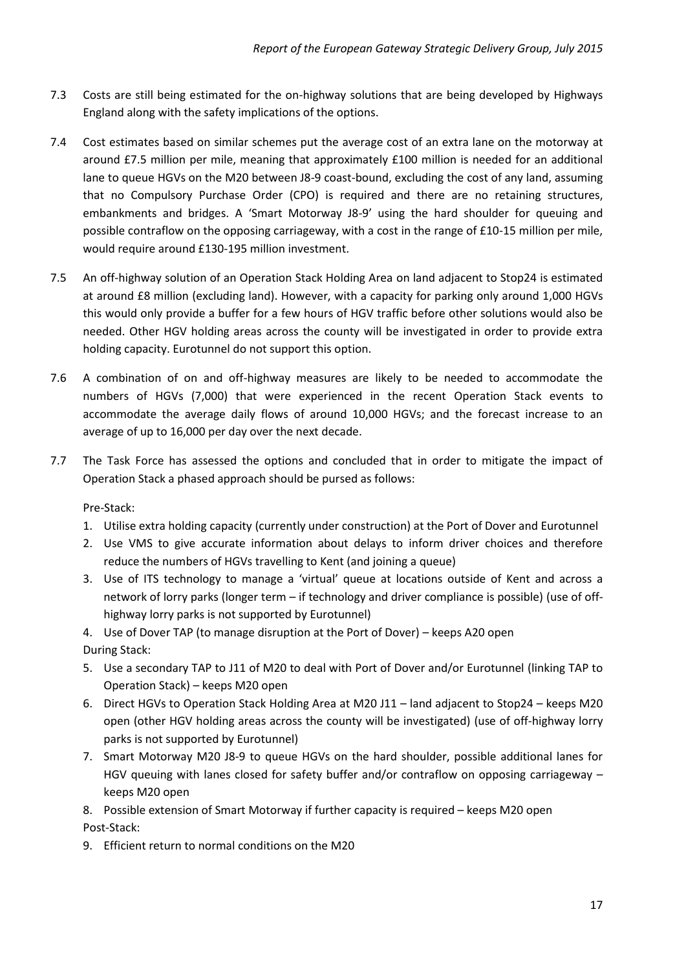- 7.3 Costs are still being estimated for the on-highway solutions that are being developed by Highways England along with the safety implications of the options.
- 7.4 Cost estimates based on similar schemes put the average cost of an extra lane on the motorway at around £7.5 million per mile, meaning that approximately £100 million is needed for an additional lane to queue HGVs on the M20 between J8-9 coast-bound, excluding the cost of any land, assuming that no Compulsory Purchase Order (CPO) is required and there are no retaining structures, embankments and bridges. A 'Smart Motorway J8-9' using the hard shoulder for queuing and possible contraflow on the opposing carriageway, with a cost in the range of £10-15 million per mile, would require around £130-195 million investment.
- 7.5 An off-highway solution of an Operation Stack Holding Area on land adjacent to Stop24 is estimated at around £8 million (excluding land). However, with a capacity for parking only around 1,000 HGVs this would only provide a buffer for a few hours of HGV traffic before other solutions would also be needed. Other HGV holding areas across the county will be investigated in order to provide extra holding capacity. Eurotunnel do not support this option.
- 7.6 A combination of on and off-highway measures are likely to be needed to accommodate the numbers of HGVs (7,000) that were experienced in the recent Operation Stack events to accommodate the average daily flows of around 10,000 HGVs; and the forecast increase to an average of up to 16,000 per day over the next decade.
- 7.7 The Task Force has assessed the options and concluded that in order to mitigate the impact of Operation Stack a phased approach should be pursed as follows:

Pre-Stack:

- 1. Utilise extra holding capacity (currently under construction) at the Port of Dover and Eurotunnel
- 2. Use VMS to give accurate information about delays to inform driver choices and therefore reduce the numbers of HGVs travelling to Kent (and joining a queue)
- 3. Use of ITS technology to manage a 'virtual' queue at locations outside of Kent and across a network of lorry parks (longer term – if technology and driver compliance is possible) (use of offhighway lorry parks is not supported by Eurotunnel)
- 4. Use of Dover TAP (to manage disruption at the Port of Dover) keeps A20 open During Stack:
- 5. Use a secondary TAP to J11 of M20 to deal with Port of Dover and/or Eurotunnel (linking TAP to Operation Stack) – keeps M20 open
- 6. Direct HGVs to Operation Stack Holding Area at M20 J11 land adjacent to Stop24 keeps M20 open (other HGV holding areas across the county will be investigated) (use of off-highway lorry parks is not supported by Eurotunnel)
- 7. Smart Motorway M20 J8-9 to queue HGVs on the hard shoulder, possible additional lanes for HGV queuing with lanes closed for safety buffer and/or contraflow on opposing carriageway – keeps M20 open

8. Possible extension of Smart Motorway if further capacity is required – keeps M20 open Post-Stack:

9. Efficient return to normal conditions on the M20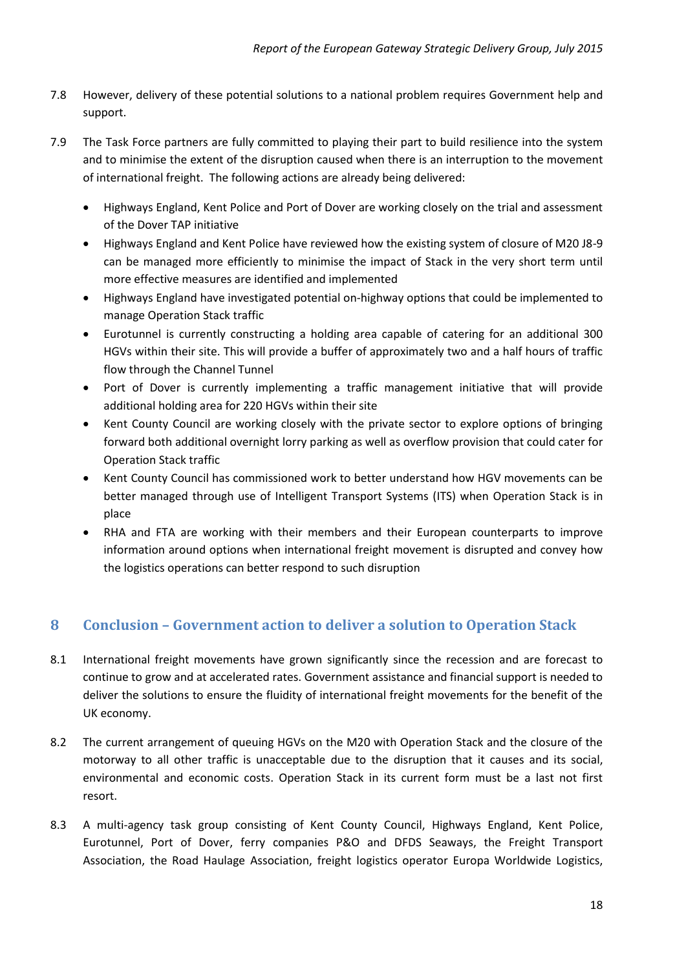- 7.8 However, delivery of these potential solutions to a national problem requires Government help and support.
- 7.9 The Task Force partners are fully committed to playing their part to build resilience into the system and to minimise the extent of the disruption caused when there is an interruption to the movement of international freight. The following actions are already being delivered:
	- Highways England, Kent Police and Port of Dover are working closely on the trial and assessment of the Dover TAP initiative
	- Highways England and Kent Police have reviewed how the existing system of closure of M20 J8-9 can be managed more efficiently to minimise the impact of Stack in the very short term until more effective measures are identified and implemented
	- Highways England have investigated potential on-highway options that could be implemented to manage Operation Stack traffic
	- Eurotunnel is currently constructing a holding area capable of catering for an additional 300 HGVs within their site. This will provide a buffer of approximately two and a half hours of traffic flow through the Channel Tunnel
	- Port of Dover is currently implementing a traffic management initiative that will provide additional holding area for 220 HGVs within their site
	- Kent County Council are working closely with the private sector to explore options of bringing forward both additional overnight lorry parking as well as overflow provision that could cater for Operation Stack traffic
	- Kent County Council has commissioned work to better understand how HGV movements can be better managed through use of Intelligent Transport Systems (ITS) when Operation Stack is in place
	- RHA and FTA are working with their members and their European counterparts to improve information around options when international freight movement is disrupted and convey how the logistics operations can better respond to such disruption

## <span id="page-17-0"></span>**8 Conclusion – Government action to deliver a solution to Operation Stack**

- 8.1 International freight movements have grown significantly since the recession and are forecast to continue to grow and at accelerated rates. Government assistance and financial support is needed to deliver the solutions to ensure the fluidity of international freight movements for the benefit of the UK economy.
- 8.2 The current arrangement of queuing HGVs on the M20 with Operation Stack and the closure of the motorway to all other traffic is unacceptable due to the disruption that it causes and its social, environmental and economic costs. Operation Stack in its current form must be a last not first resort.
- 8.3 A multi-agency task group consisting of Kent County Council, Highways England, Kent Police, Eurotunnel, Port of Dover, ferry companies P&O and DFDS Seaways, the Freight Transport Association, the Road Haulage Association, freight logistics operator Europa Worldwide Logistics,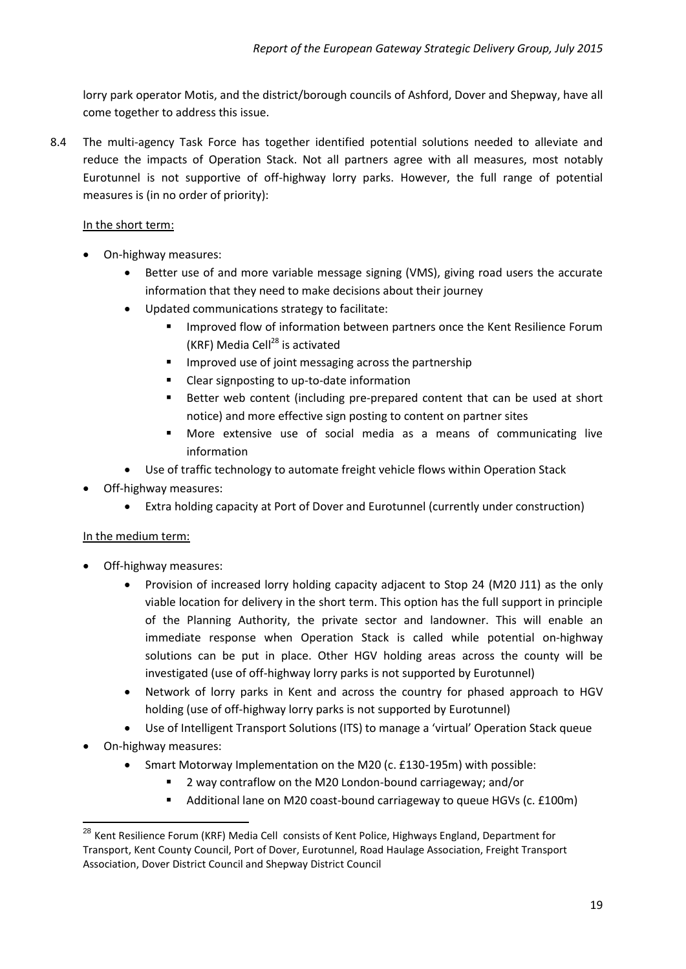lorry park operator Motis, and the district/borough councils of Ashford, Dover and Shepway, have all come together to address this issue.

8.4 The multi-agency Task Force has together identified potential solutions needed to alleviate and reduce the impacts of Operation Stack. Not all partners agree with all measures, most notably Eurotunnel is not supportive of off-highway lorry parks. However, the full range of potential measures is (in no order of priority):

#### In the short term:

- On-highway measures:
	- Better use of and more variable message signing (VMS), giving road users the accurate information that they need to make decisions about their journey
	- Updated communications strategy to facilitate:
		- Improved flow of information between partners once the Kent Resilience Forum (KRF) Media Cell $^{28}$  is activated
		- **IMPROVED USE OF JOINT MESSAGING ACTORS THE PARTICLE INC.**
		- Clear signposting to up-to-date information
		- Better web content (including pre-prepared content that can be used at short notice) and more effective sign posting to content on partner sites
		- More extensive use of social media as a means of communicating live information
	- Use of traffic technology to automate freight vehicle flows within Operation Stack
- Off-highway measures:
	- Extra holding capacity at Port of Dover and Eurotunnel (currently under construction)

#### In the medium term:

- Off-highway measures:
	- Provision of increased lorry holding capacity adjacent to Stop 24 (M20 J11) as the only viable location for delivery in the short term. This option has the full support in principle of the Planning Authority, the private sector and landowner. This will enable an immediate response when Operation Stack is called while potential on-highway solutions can be put in place. Other HGV holding areas across the county will be investigated (use of off-highway lorry parks is not supported by Eurotunnel)
	- Network of lorry parks in Kent and across the country for phased approach to HGV holding (use of off-highway lorry parks is not supported by Eurotunnel)
	- Use of Intelligent Transport Solutions (ITS) to manage a 'virtual' Operation Stack queue
- On-highway measures:

- Smart Motorway Implementation on the M20 (c. £130-195m) with possible:
	- 2 way contraflow on the M20 London-bound carriageway; and/or
	- Additional lane on M20 coast-bound carriageway to queue HGVs (c. £100m)

<sup>&</sup>lt;sup>28</sup> Kent Resilience Forum (KRF) Media Cell consists of Kent Police, Highways England, Department for Transport, Kent County Council, Port of Dover, Eurotunnel, Road Haulage Association, Freight Transport Association, Dover District Council and Shepway District Council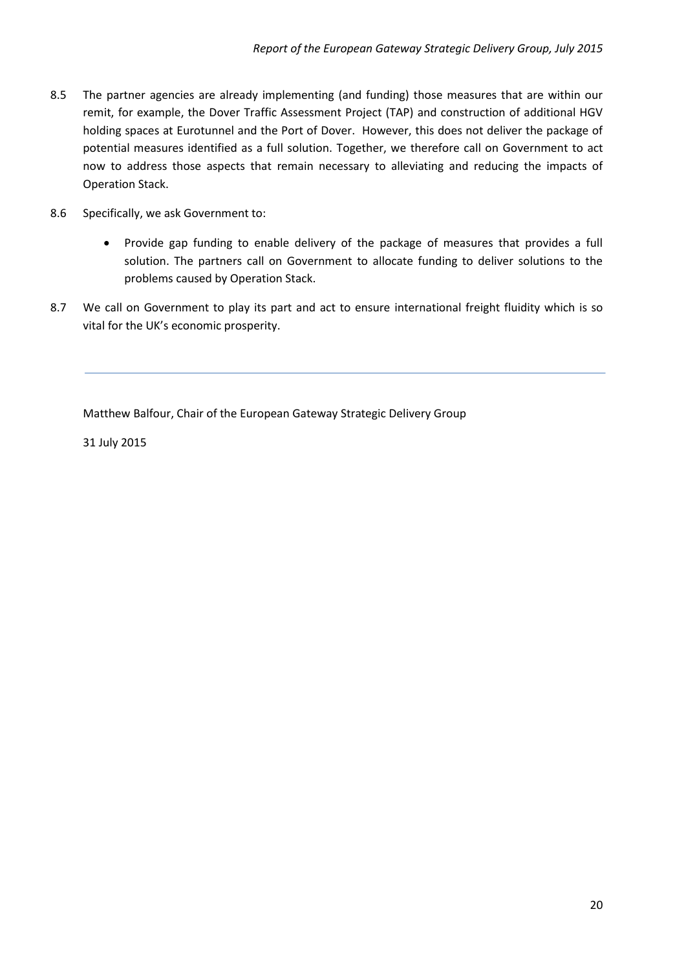- 8.5 The partner agencies are already implementing (and funding) those measures that are within our remit, for example, the Dover Traffic Assessment Project (TAP) and construction of additional HGV holding spaces at Eurotunnel and the Port of Dover. However, this does not deliver the package of potential measures identified as a full solution. Together, we therefore call on Government to act now to address those aspects that remain necessary to alleviating and reducing the impacts of Operation Stack.
- 8.6 Specifically, we ask Government to:
	- Provide gap funding to enable delivery of the package of measures that provides a full solution. The partners call on Government to allocate funding to deliver solutions to the problems caused by Operation Stack.
- 8.7 We call on Government to play its part and act to ensure international freight fluidity which is so vital for the UK's economic prosperity.

Matthew Balfour, Chair of the European Gateway Strategic Delivery Group

31 July 2015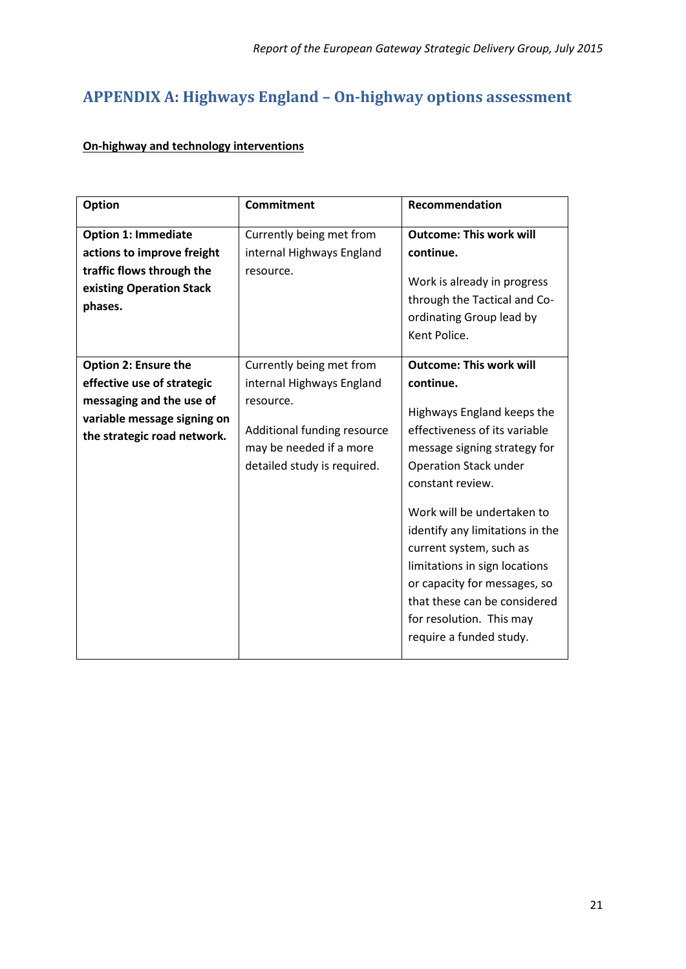# <span id="page-20-0"></span>**APPENDIX A: Highways England – On-highway options assessment**

### **On-highway and technology interventions**

| <b>Option</b>                                                                                                                                       | <b>Commitment</b>                                                                                                                                           | Recommendation                                                                                                                                                                                                                                                                                                                                                                                                                                     |
|-----------------------------------------------------------------------------------------------------------------------------------------------------|-------------------------------------------------------------------------------------------------------------------------------------------------------------|----------------------------------------------------------------------------------------------------------------------------------------------------------------------------------------------------------------------------------------------------------------------------------------------------------------------------------------------------------------------------------------------------------------------------------------------------|
| <b>Option 1: Immediate</b><br>actions to improve freight<br>traffic flows through the<br>existing Operation Stack<br>phases.                        | Currently being met from<br>internal Highways England<br>resource.                                                                                          | <b>Outcome: This work will</b><br>continue.<br>Work is already in progress<br>through the Tactical and Co-<br>ordinating Group lead by<br>Kent Police.                                                                                                                                                                                                                                                                                             |
| <b>Option 2: Ensure the</b><br>effective use of strategic<br>messaging and the use of<br>variable message signing on<br>the strategic road network. | Currently being met from<br>internal Highways England<br>resource.<br>Additional funding resource<br>may be needed if a more<br>detailed study is required. | <b>Outcome: This work will</b><br>continue.<br>Highways England keeps the<br>effectiveness of its variable<br>message signing strategy for<br><b>Operation Stack under</b><br>constant review.<br>Work will be undertaken to<br>identify any limitations in the<br>current system, such as<br>limitations in sign locations<br>or capacity for messages, so<br>that these can be considered<br>for resolution. This may<br>require a funded study. |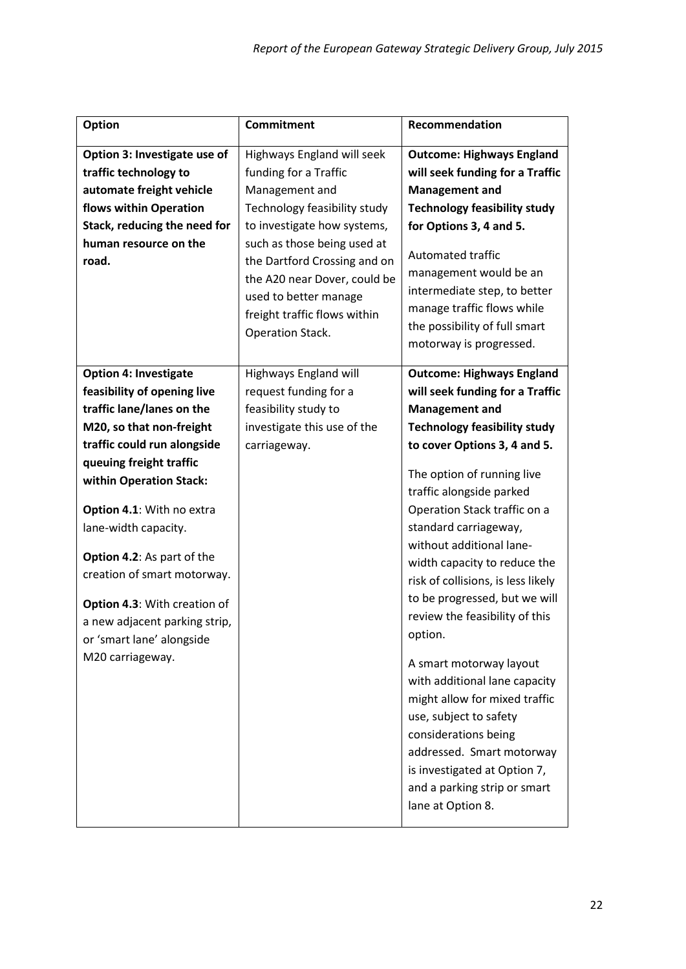| <b>Option</b>                                                                                                                                                                                                                                                                          | <b>Commitment</b>                                                                                                                                                        | Recommendation                                                                                                                                                                                                                                                                                                                                                                               |
|----------------------------------------------------------------------------------------------------------------------------------------------------------------------------------------------------------------------------------------------------------------------------------------|--------------------------------------------------------------------------------------------------------------------------------------------------------------------------|----------------------------------------------------------------------------------------------------------------------------------------------------------------------------------------------------------------------------------------------------------------------------------------------------------------------------------------------------------------------------------------------|
| Option 3: Investigate use of                                                                                                                                                                                                                                                           | Highways England will seek                                                                                                                                               | <b>Outcome: Highways England</b>                                                                                                                                                                                                                                                                                                                                                             |
| traffic technology to                                                                                                                                                                                                                                                                  | funding for a Traffic                                                                                                                                                    | will seek funding for a Traffic                                                                                                                                                                                                                                                                                                                                                              |
| automate freight vehicle                                                                                                                                                                                                                                                               | Management and                                                                                                                                                           | <b>Management and</b>                                                                                                                                                                                                                                                                                                                                                                        |
| flows within Operation                                                                                                                                                                                                                                                                 | Technology feasibility study                                                                                                                                             | <b>Technology feasibility study</b>                                                                                                                                                                                                                                                                                                                                                          |
| Stack, reducing the need for                                                                                                                                                                                                                                                           | to investigate how systems,                                                                                                                                              | for Options 3, 4 and 5.                                                                                                                                                                                                                                                                                                                                                                      |
| human resource on the<br>road.                                                                                                                                                                                                                                                         | such as those being used at<br>the Dartford Crossing and on<br>the A20 near Dover, could be<br>used to better manage<br>freight traffic flows within<br>Operation Stack. | Automated traffic<br>management would be an<br>intermediate step, to better<br>manage traffic flows while<br>the possibility of full smart<br>motorway is progressed.                                                                                                                                                                                                                        |
| <b>Option 4: Investigate</b>                                                                                                                                                                                                                                                           | Highways England will                                                                                                                                                    | <b>Outcome: Highways England</b>                                                                                                                                                                                                                                                                                                                                                             |
| feasibility of opening live                                                                                                                                                                                                                                                            | request funding for a                                                                                                                                                    | will seek funding for a Traffic                                                                                                                                                                                                                                                                                                                                                              |
| traffic lane/lanes on the                                                                                                                                                                                                                                                              | feasibility study to                                                                                                                                                     | <b>Management and</b>                                                                                                                                                                                                                                                                                                                                                                        |
| M20, so that non-freight                                                                                                                                                                                                                                                               | investigate this use of the                                                                                                                                              | <b>Technology feasibility study</b>                                                                                                                                                                                                                                                                                                                                                          |
| traffic could run alongside                                                                                                                                                                                                                                                            | carriageway.                                                                                                                                                             | to cover Options 3, 4 and 5.                                                                                                                                                                                                                                                                                                                                                                 |
| queuing freight traffic<br>within Operation Stack:<br>Option 4.1: With no extra<br>lane-width capacity.<br>Option 4.2: As part of the<br>creation of smart motorway.<br>Option 4.3: With creation of<br>a new adjacent parking strip,<br>or 'smart lane' alongside<br>M20 carriageway. |                                                                                                                                                                          | The option of running live<br>traffic alongside parked<br>Operation Stack traffic on a<br>standard carriageway,<br>without additional lane-<br>width capacity to reduce the<br>risk of collisions, is less likely<br>to be progressed, but we will<br>review the feasibility of this<br>option.<br>A smart motorway layout<br>with additional lane capacity<br>might allow for mixed traffic |
|                                                                                                                                                                                                                                                                                        |                                                                                                                                                                          | use, subject to safety<br>considerations being<br>addressed. Smart motorway<br>is investigated at Option 7,<br>and a parking strip or smart<br>lane at Option 8.                                                                                                                                                                                                                             |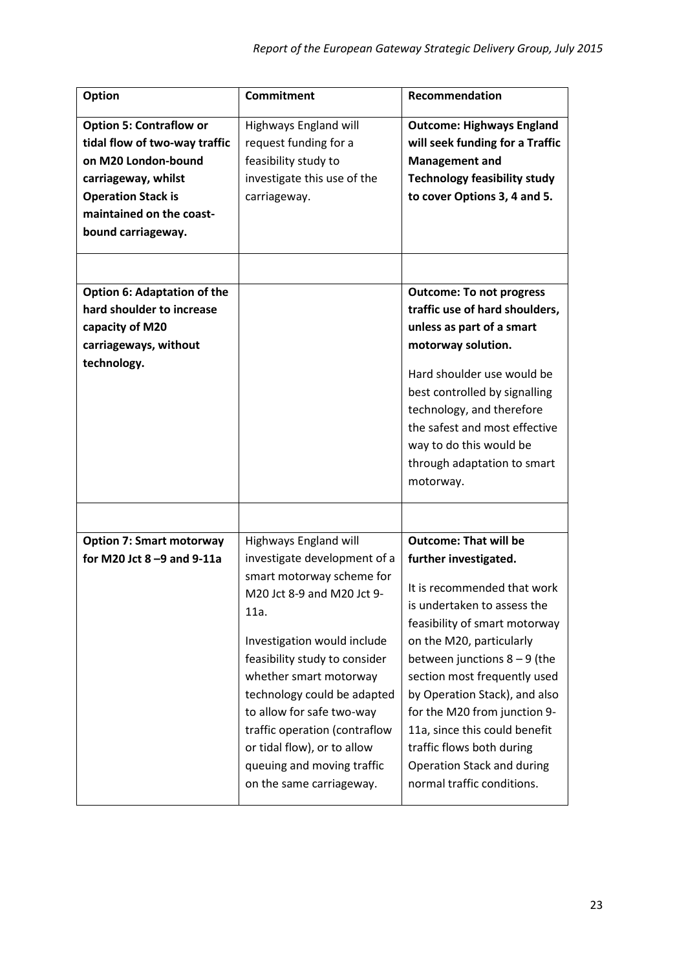| <b>Option</b>                      | <b>Commitment</b>             | Recommendation                      |
|------------------------------------|-------------------------------|-------------------------------------|
| <b>Option 5: Contraflow or</b>     | Highways England will         | <b>Outcome: Highways England</b>    |
| tidal flow of two-way traffic      | request funding for a         | will seek funding for a Traffic     |
| on M20 London-bound                | feasibility study to          | <b>Management and</b>               |
| carriageway, whilst                | investigate this use of the   | <b>Technology feasibility study</b> |
| <b>Operation Stack is</b>          | carriageway.                  | to cover Options 3, 4 and 5.        |
| maintained on the coast-           |                               |                                     |
| bound carriageway.                 |                               |                                     |
|                                    |                               |                                     |
|                                    |                               |                                     |
| <b>Option 6: Adaptation of the</b> |                               | <b>Outcome: To not progress</b>     |
| hard shoulder to increase          |                               | traffic use of hard shoulders,      |
| capacity of M20                    |                               | unless as part of a smart           |
| carriageways, without              |                               | motorway solution.                  |
| technology.                        |                               | Hard shoulder use would be          |
|                                    |                               | best controlled by signalling       |
|                                    |                               | technology, and therefore           |
|                                    |                               | the safest and most effective       |
|                                    |                               | way to do this would be             |
|                                    |                               | through adaptation to smart         |
|                                    |                               | motorway.                           |
|                                    |                               |                                     |
| <b>Option 7: Smart motorway</b>    |                               |                                     |
|                                    |                               |                                     |
|                                    | Highways England will         | <b>Outcome: That will be</b>        |
| for M20 Jct $8 - 9$ and $9 - 11a$  | investigate development of a  | further investigated.               |
|                                    | smart motorway scheme for     | It is recommended that work         |
|                                    | M20 Jct 8-9 and M20 Jct 9-    | is undertaken to assess the         |
|                                    | 11a.                          | feasibility of smart motorway       |
|                                    | Investigation would include   | on the M20, particularly            |
|                                    | feasibility study to consider | between junctions $8 - 9$ (the      |
|                                    | whether smart motorway        | section most frequently used        |
|                                    | technology could be adapted   | by Operation Stack), and also       |
|                                    | to allow for safe two-way     | for the M20 from junction 9-        |
|                                    | traffic operation (contraflow | 11a, since this could benefit       |
|                                    | or tidal flow), or to allow   | traffic flows both during           |
|                                    | queuing and moving traffic    | Operation Stack and during          |
|                                    | on the same carriageway.      | normal traffic conditions.          |